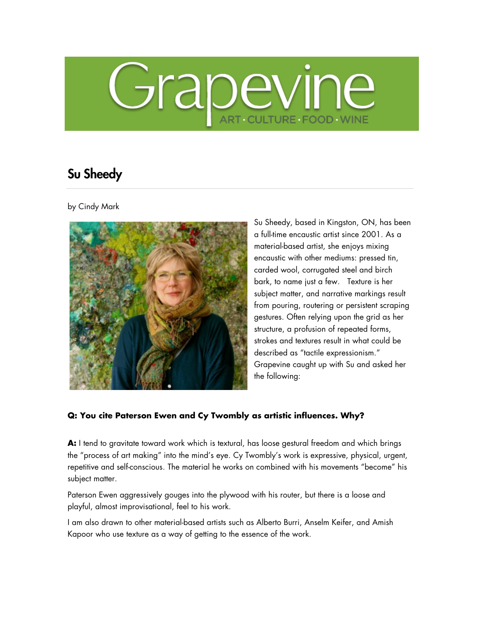# Grapevine ART CULTURE FOOD WINE

# Su Sheedy

by Cindy Mark



Su Sheedy, based in Kingston, ON, has been a full-time encaustic artist since 2001. As a material-based artist, she enjoys mixing encaustic with other mediums: pressed tin, carded wool, corrugated steel and birch bark, to name just a few. Texture is her subject matter, and narrative markings result from pouring, routering or persistent scraping gestures. Often relying upon the grid as her structure, a profusion of repeated forms, strokes and textures result in what could be described as "tactile expressionism." Grapevine caught up with Su and asked her the following:

### **Q: You cite Paterson Ewen and Cy Twombly as artistic influences. Why?**

**A:** I tend to gravitate toward work which is textural, has loose gestural freedom and which brings the "process of art making" into the mind's eye. Cy Twombly's work is expressive, physical, urgent, repetitive and self-conscious. The material he works on combined with his movements "become" his subject matter.

Paterson Ewen aggressively gouges into the plywood with his router, but there is a loose and playful, almost improvisational, feel to his work.

I am also drawn to other material-based artists such as Alberto Burri, Anselm Keifer, and Amish Kapoor who use texture as a way of getting to the essence of the work.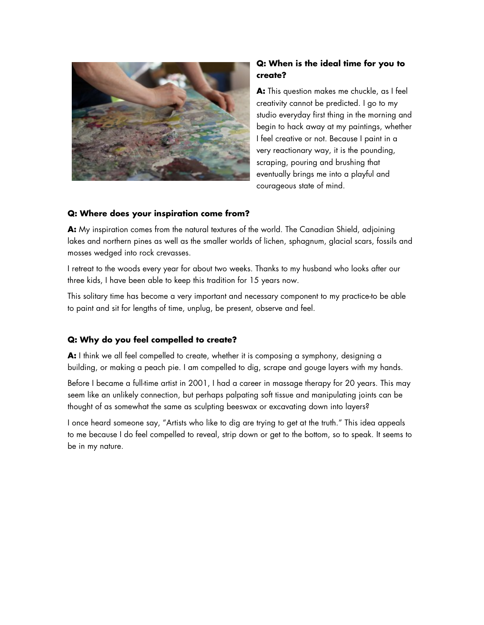

## **Q: When is the ideal time for you to create?**

**A:** This question makes me chuckle, as I feel creativity cannot be predicted. I go to my studio everyday first thing in the morning and begin to hack away at my paintings, whether I feel creative or not. Because I paint in a very reactionary way, it is the pounding, scraping, pouring and brushing that eventually brings me into a playful and courageous state of mind.

#### **Q: Where does your inspiration come from?**

**A:** My inspiration comes from the natural textures of the world. The Canadian Shield, adjoining lakes and northern pines as well as the smaller worlds of lichen, sphagnum, glacial scars, fossils and mosses wedged into rock crevasses.

I retreat to the woods every year for about two weeks. Thanks to my husband who looks after our three kids, I have been able to keep this tradition for 15 years now.

This solitary time has become a very important and necessary component to my practice-to be able to paint and sit for lengths of time, unplug, be present, observe and feel.

#### **Q: Why do you feel compelled to create?**

**A:** I think we all feel compelled to create, whether it is composing a symphony, designing a building, or making a peach pie. I am compelled to dig, scrape and gouge layers with my hands.

Before I became a full-time artist in 2001, I had a career in massage therapy for 20 years. This may seem like an unlikely connection, but perhaps palpating soft tissue and manipulating joints can be thought of as somewhat the same as sculpting beeswax or excavating down into layers?

I once heard someone say, "Artists who like to dig are trying to get at the truth." This idea appeals to me because I do feel compelled to reveal, strip down or get to the bottom, so to speak. It seems to be in my nature.